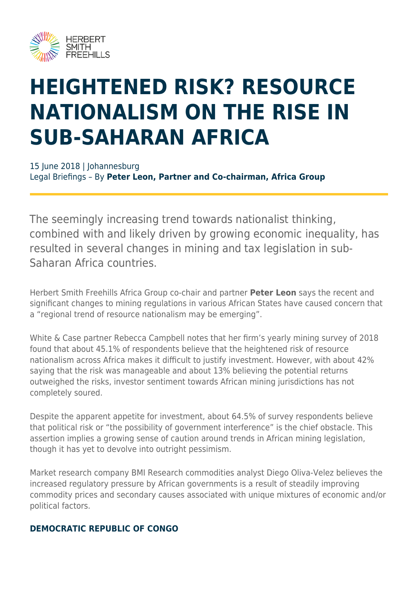

# **HEIGHTENED RISK? RESOURCE NATIONALISM ON THE RISE IN SUB-SAHARAN AFRICA**

15 June 2018 | Johannesburg Legal Briefings – By **Peter Leon, Partner and Co-chairman, Africa Group**

The seemingly increasing trend towards nationalist thinking, combined with and likely driven by growing economic inequality, has resulted in several changes in mining and tax legislation in sub-Saharan Africa countries.

Herbert Smith Freehills Africa Group co-chair and partner **Peter Leon** says the recent and significant changes to mining regulations in various African States have caused concern that a "regional trend of resource nationalism may be emerging".

White & Case partner Rebecca Campbell notes that her firm's yearly mining survey of 2018 found that about 45.1% of respondents believe that the heightened risk of resource nationalism across Africa makes it difficult to justify investment. However, with about 42% saying that the risk was manageable and about 13% believing the potential returns outweighed the risks, investor sentiment towards African mining jurisdictions has not completely soured.

Despite the apparent appetite for investment, about 64.5% of survey respondents believe that political risk or "the possibility of government interference" is the chief obstacle. This assertion implies a growing sense of caution around trends in African mining legislation, though it has yet to devolve into outright pessimism.

Market research company BMI Research commodities analyst Diego Oliva-Velez believes the increased regulatory pressure by African governments is a result of steadily improving commodity prices and secondary causes associated with unique mixtures of economic and/or political factors.

#### **DEMOCRATIC REPUBLIC OF CONGO**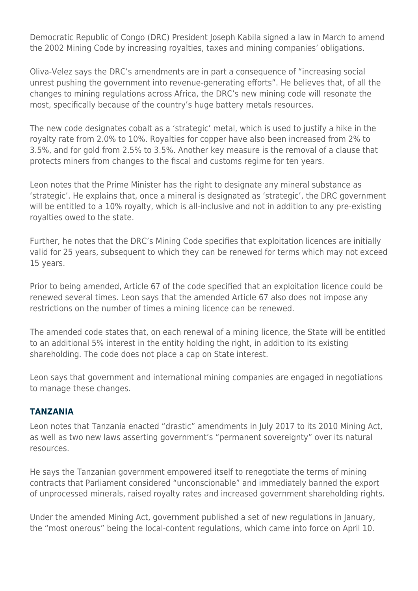Democratic Republic of Congo (DRC) President Joseph Kabila signed a law in March to amend the 2002 Mining Code by increasing royalties, taxes and mining companies' obligations.

Oliva-Velez says the DRC's amendments are in part a consequence of "increasing social unrest pushing the government into revenue-generating efforts". He believes that, of all the changes to mining regulations across Africa, the DRC's new mining code will resonate the most, specifically because of the country's huge battery metals resources.

The new code designates cobalt as a 'strategic' metal, which is used to justify a hike in the royalty rate from 2.0% to 10%. Royalties for copper have also been increased from 2% to 3.5%, and for gold from 2.5% to 3.5%. Another key measure is the removal of a clause that protects miners from changes to the fiscal and customs regime for ten years.

Leon notes that the Prime Minister has the right to designate any mineral substance as 'strategic'. He explains that, once a mineral is designated as 'strategic', the DRC government will be entitled to a 10% royalty, which is all-inclusive and not in addition to any pre-existing royalties owed to the state.

Further, he notes that the DRC's Mining Code specifies that exploitation licences are initially valid for 25 years, subsequent to which they can be renewed for terms which may not exceed 15 years.

Prior to being amended, Article 67 of the code specified that an exploitation licence could be renewed several times. Leon says that the amended Article 67 also does not impose any restrictions on the number of times a mining licence can be renewed.

The amended code states that, on each renewal of a mining licence, the State will be entitled to an additional 5% interest in the entity holding the right, in addition to its existing shareholding. The code does not place a cap on State interest.

Leon says that government and international mining companies are engaged in negotiations to manage these changes.

#### **TANZANIA**

Leon notes that Tanzania enacted "drastic" amendments in July 2017 to its 2010 Mining Act, as well as two new laws asserting government's "permanent sovereignty" over its natural resources.

He says the Tanzanian government empowered itself to renegotiate the terms of mining contracts that Parliament considered "unconscionable" and immediately banned the export of unprocessed minerals, raised royalty rates and increased government shareholding rights.

Under the amended Mining Act, government published a set of new regulations in January, the "most onerous" being the local-content regulations, which came into force on April 10.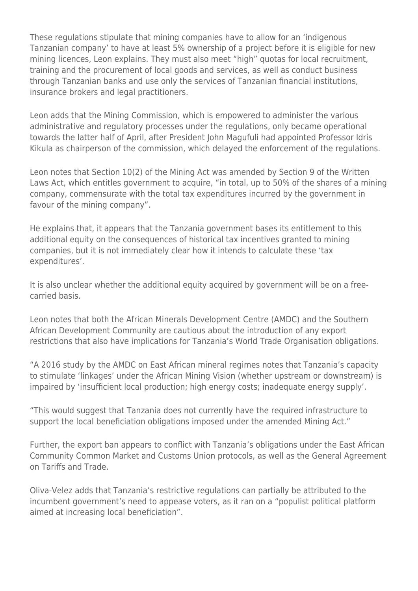These regulations stipulate that mining companies have to allow for an 'indigenous Tanzanian company' to have at least 5% ownership of a project before it is eligible for new mining licences, Leon explains. They must also meet "high" quotas for local recruitment, training and the procurement of local goods and services, as well as conduct business through Tanzanian banks and use only the services of Tanzanian financial institutions, insurance brokers and legal practitioners.

Leon adds that the Mining Commission, which is empowered to administer the various administrative and regulatory processes under the regulations, only became operational towards the latter half of April, after President John Magufuli had appointed Professor Idris Kikula as chairperson of the commission, which delayed the enforcement of the regulations.

Leon notes that Section 10(2) of the Mining Act was amended by Section 9 of the Written Laws Act, which entitles government to acquire, "in total, up to 50% of the shares of a mining company, commensurate with the total tax expenditures incurred by the government in favour of the mining company".

He explains that, it appears that the Tanzania government bases its entitlement to this additional equity on the consequences of historical tax incentives granted to mining companies, but it is not immediately clear how it intends to calculate these 'tax expenditures'.

It is also unclear whether the additional equity acquired by government will be on a freecarried basis.

Leon notes that both the African Minerals Development Centre (AMDC) and the Southern African Development Community are cautious about the introduction of any export restrictions that also have implications for Tanzania's World Trade Organisation obligations.

"A 2016 study by the AMDC on East African mineral regimes notes that Tanzania's capacity to stimulate 'linkages' under the African Mining Vision (whether upstream or downstream) is impaired by 'insufficient local production; high energy costs; inadequate energy supply'.

"This would suggest that Tanzania does not currently have the required infrastructure to support the local beneficiation obligations imposed under the amended Mining Act."

Further, the export ban appears to conflict with Tanzania's obligations under the East African Community Common Market and Customs Union protocols, as well as the General Agreement on Tariffs and Trade.

Oliva-Velez adds that Tanzania's restrictive regulations can partially be attributed to the incumbent government's need to appease voters, as it ran on a "populist political platform aimed at increasing local beneficiation".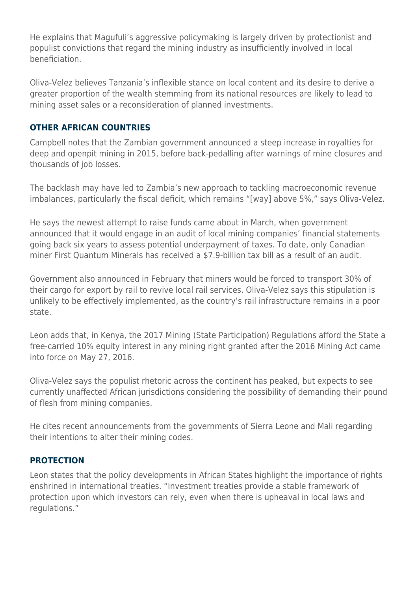He explains that Magufuli's aggressive policymaking is largely driven by protectionist and populist convictions that regard the mining industry as insufficiently involved in local beneficiation.

Oliva-Velez believes Tanzania's inflexible stance on local content and its desire to derive a greater proportion of the wealth stemming from its national resources are likely to lead to mining asset sales or a reconsideration of planned investments.

#### **OTHER AFRICAN COUNTRIES**

Campbell notes that the Zambian government announced a steep increase in royalties for deep and openpit mining in 2015, before back-pedalling after warnings of mine closures and thousands of job losses.

The backlash may have led to Zambia's new approach to tackling macroeconomic revenue imbalances, particularly the fiscal deficit, which remains "[way] above 5%," says Oliva-Velez.

He says the newest attempt to raise funds came about in March, when government announced that it would engage in an audit of local mining companies' financial statements going back six years to assess potential underpayment of taxes. To date, only Canadian miner First Quantum Minerals has received a \$7.9-billion tax bill as a result of an audit.

Government also announced in February that miners would be forced to transport 30% of their cargo for export by rail to revive local rail services. Oliva-Velez says this stipulation is unlikely to be effectively implemented, as the country's rail infrastructure remains in a poor state.

Leon adds that, in Kenya, the 2017 Mining (State Participation) Regulations afford the State a free-carried 10% equity interest in any mining right granted after the 2016 Mining Act came into force on May 27, 2016.

Oliva-Velez says the populist rhetoric across the continent has peaked, but expects to see currently unaffected African jurisdictions considering the possibility of demanding their pound of flesh from mining companies.

He cites recent announcements from the governments of Sierra Leone and Mali regarding their intentions to alter their mining codes.

#### **PROTECTION**

Leon states that the policy developments in African States highlight the importance of rights enshrined in international treaties. "Investment treaties provide a stable framework of protection upon which investors can rely, even when there is upheaval in local laws and regulations."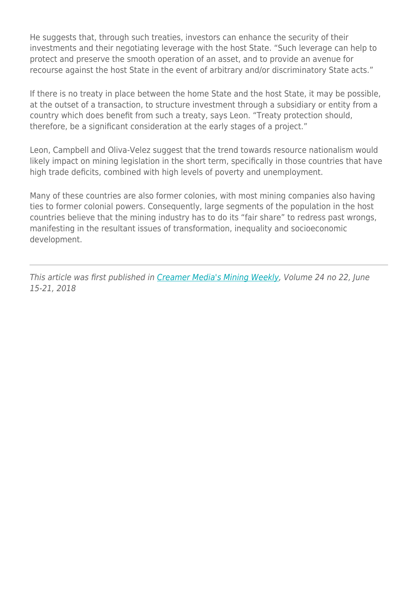He suggests that, through such treaties, investors can enhance the security of their investments and their negotiating leverage with the host State. "Such leverage can help to protect and preserve the smooth operation of an asset, and to provide an avenue for recourse against the host State in the event of arbitrary and/or discriminatory State acts."

If there is no treaty in place between the home State and the host State, it may be possible, at the outset of a transaction, to structure investment through a subsidiary or entity from a country which does benefit from such a treaty, says Leon. "Treaty protection should, therefore, be a significant consideration at the early stages of a project."

Leon, Campbell and Oliva-Velez suggest that the trend towards resource nationalism would likely impact on mining legislation in the short term, specifically in those countries that have high trade deficits, combined with high levels of poverty and unemployment.

Many of these countries are also former colonies, with most mining companies also having ties to former colonial powers. Consequently, large segments of the population in the host countries believe that the mining industry has to do its "fair share" to redress past wrongs, manifesting in the resultant issues of transformation, inequality and socioeconomic development.

This article was first published in [Creamer Media's Mining Weekly](http://www.miningweekly.com/article/resource-nationalism-on-the-rise-in-sub-saharan-africa-2018-06-15-1/rep_id:3650), Volume 24 no 22, June 15-21, 2018